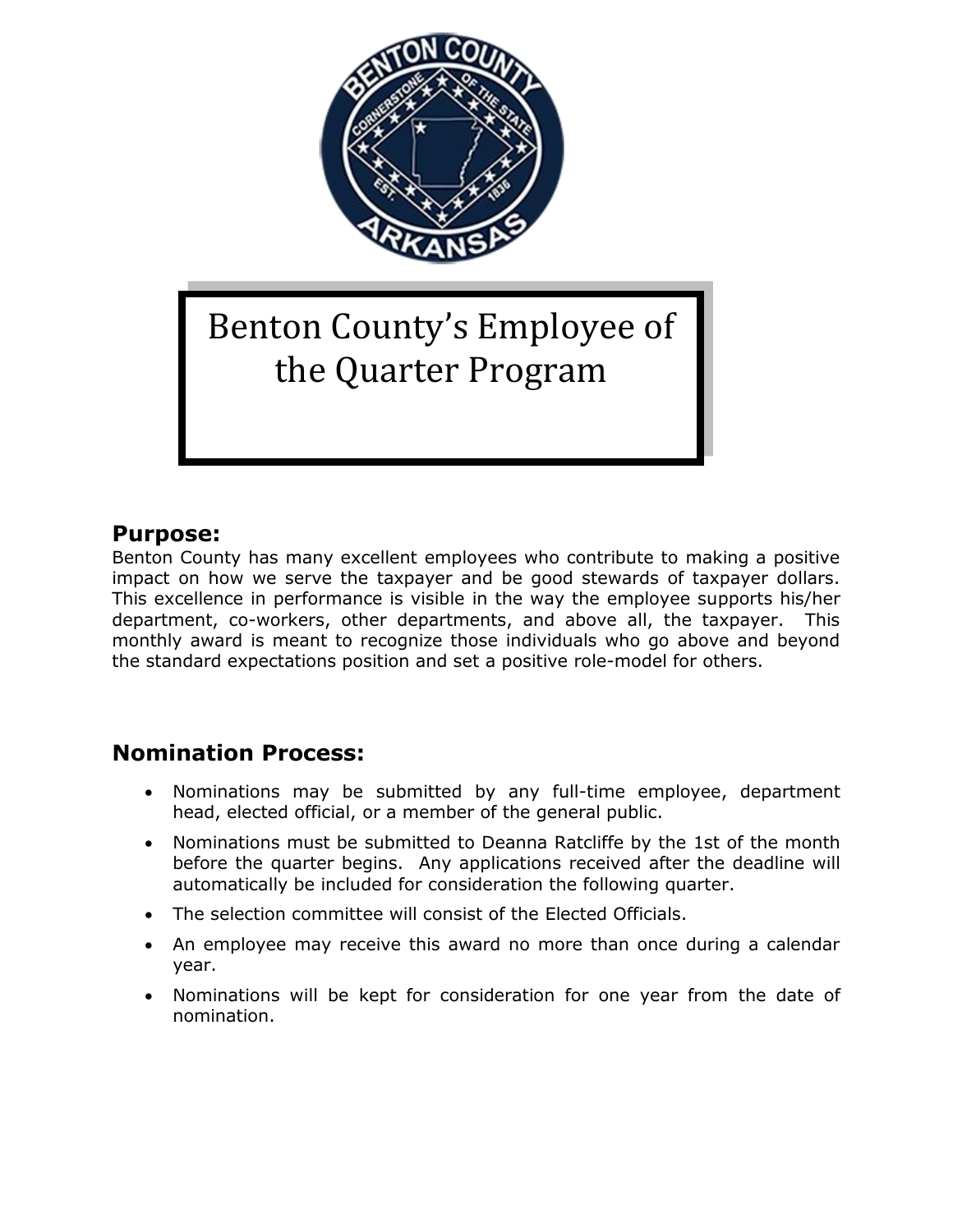

# Benton County's Employee of the Quarter Program

#### **Purpose:**

Benton County has many excellent employees who contribute to making a positive impact on how we serve the taxpayer and be good stewards of taxpayer dollars. This excellence in performance is visible in the way the employee supports his/her department, co-workers, other departments, and above all, the taxpayer. This monthly award is meant to recognize those individuals who go above and beyond the standard expectations position and set a positive role-model for others.

### **Nomination Process:**

- Nominations may be submitted by any full-time employee, department head, elected official, or a member of the general public.
- Nominations must be submitted to Deanna Ratcliffe by the 1st of the month before the quarter begins. Any applications received after the deadline will automatically be included for consideration the following quarter.
- The selection committee will consist of the Elected Officials.
- An employee may receive this award no more than once during a calendar year.
- Nominations will be kept for consideration for one year from the date of nomination.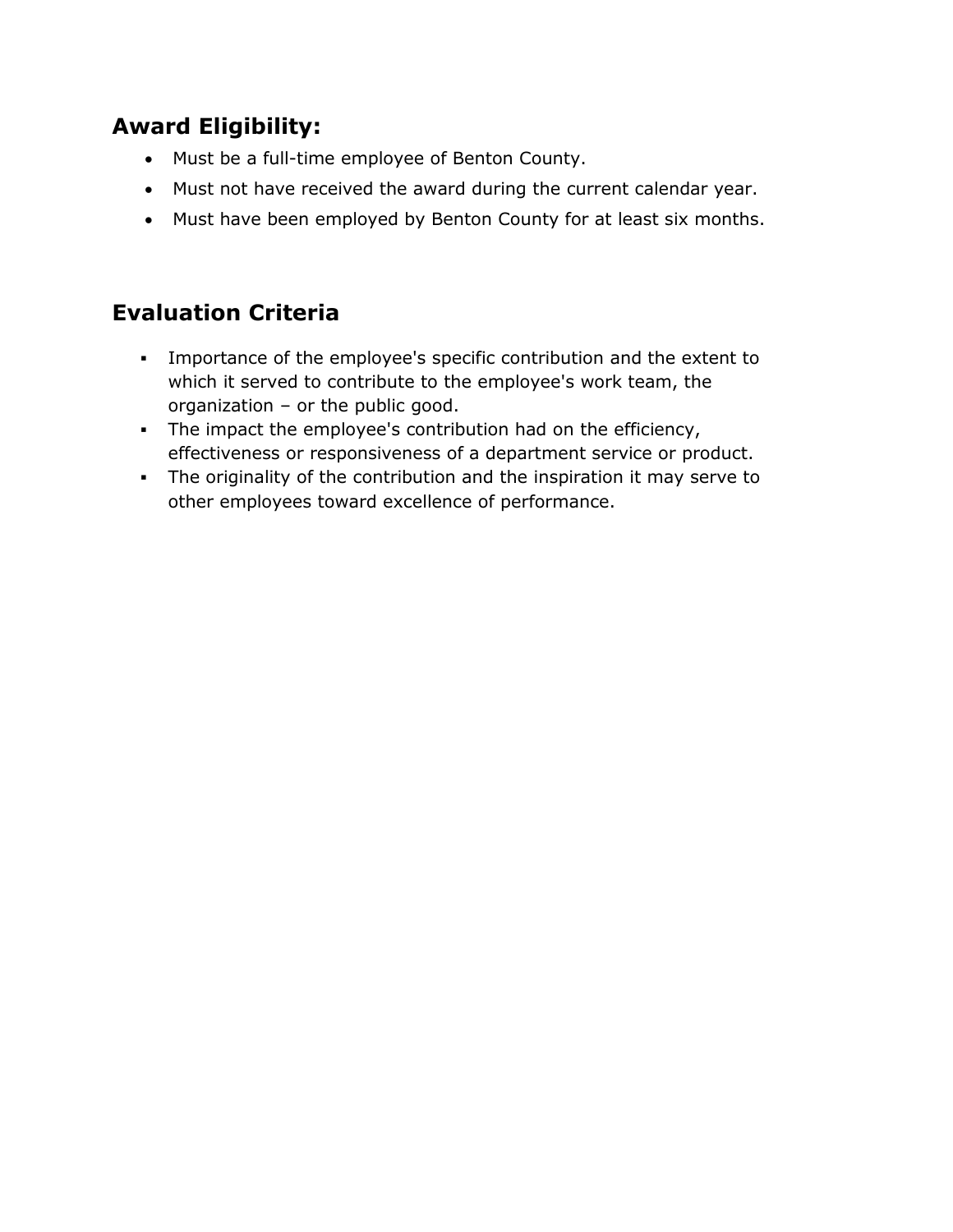## **Award Eligibility:**

- Must be a full-time employee of Benton County.
- Must not have received the award during the current calendar year.
- Must have been employed by Benton County for at least six months.

## **Evaluation Criteria**

- Importance of the employee's specific contribution and the extent to which it served to contribute to the employee's work team, the organization – or the public good.
- The impact the employee's contribution had on the efficiency, effectiveness or responsiveness of a department service or product.
- The originality of the contribution and the inspiration it may serve to other employees toward excellence of performance.